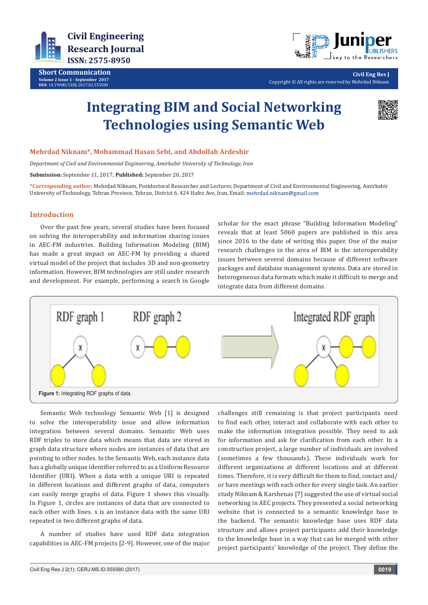

**Short Communication Volume 2 Issue 1 - September 2017 DOI:** [10.19080/CERJ.2017.02.555580](http://dx.doi.org/10.19080/CERJ.2017.02.555580
)



**Civil Eng Res J** Copyright © All rights are reserved by Mehrdad Niknam

# **Integrating BIM and Social Networking Technologies using Semantic Web**



### **Mehrdad Niknam\*, Mohammad Hasan Sebt, and Abdollah Ardeshir**

*Department of Civil and Environmental Engineering, Amirkabir University of Technology, Iran*

**Submission:** September 11, 2017; **Published:** September 20, 2017

**\*Corresponding author:** Mehrdad Niknam, Postdoctoral Researcher and Lecturer, Department of Civil and Environmental Engineering, Amirkabir University of Technology, Tehran Province, Tehran, District 6, 424 Hafez Ave, Iran, Email: mehrdad.niknam@gmail.com

## **Introduction**

Over the past few years, several studies have been focused on solving the interoperability and information sharing issues in AEC-FM industries. Building Information Modeling (BIM) has made a great impact on AEC-FM by providing a shared virtual model of the project that includes 3D and non-geometry information. However, BIM technologies are still under research and development. For example, performing a search in Google scholar for the exact phrase "Building Information Modeling" reveals that at least 5060 papers are published in this area since 2016 to the date of writing this paper. One of the major research challenges in the area of BIM is the interoperability issues between several domains because of different software packages and database management systems. Data are stored in heterogeneous data formats which make it difficult to merge and integrate data from different domains.



Semantic Web technology Semantic Web [1] is designed to solve the interoperability issue and allow information integration between several domains. Semantic Web uses RDF triples to store data which means that data are stored in graph data structure where nodes are instances of data that are pointing to other nodes. In the Semantic Web, each instance data has a globally unique identifier referred to as a Uniform Resource Identifier (URI). When a data with a unique URI is repeated in different locations and different graphs of data, computers can easily merge graphs of data. Figure 1 shows this visually. In Figure 1, circles are instances of data that are connected to each other with lines. x is an instance data with the same URI repeated in two different graphs of data.

A number of studies have used RDF data integration capabilities in AEC-FM projects [2-9]. However, one of the major challenges still remaining is that project participants need to find each other, interact and collaborate with each other to make the information integration possible. They need to ask for information and ask for clarification from each other. In a construction project, a large number of individuals are involved (sometimes a few thousands). These individuals work for different organizations at different locations and at different times. Therefore, it is very difficult for them to find, contact and/ or have meetings with each other for every single task. An earlier study Niknam & Karshenas [7] suggested the use of virtual social networking in AEC projects. They presented a social networking website that is connected to a semantic knowledge base in the backend. The semantic knowledge base uses RDF data structure and allows project participants add their knowledge to the knowledge base in a way that can be merged with other project participants' knowledge of the project. They define the